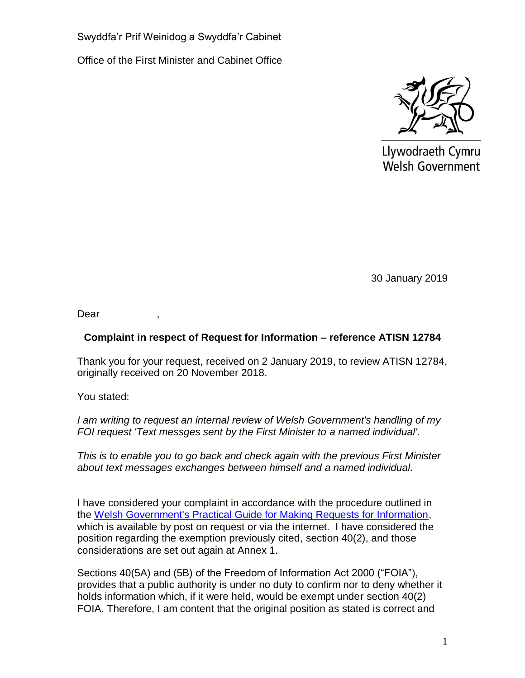Swyddfa'r Prif Weinidog a Swyddfa'r Cabinet

Office of the First Minister and Cabinet Office



Llywodraeth Cymru **Welsh Government** 

30 January 2019

Dear

# **Complaint in respect of Request for Information – reference ATISN 12784**

Thank you for your request, received on 2 January 2019, to review ATISN 12784, originally received on 20 November 2018.

You stated:

*I am writing to request an internal review of Welsh Government's handling of my FOI request 'Text messges sent by the First Minister to a named individual'.*

*This is to enable you to go back and check again with the previous First Minister about text messages exchanges between himself and a named individual.*

I have considered your complaint in accordance with the procedure outlined in the [Welsh Government's Practical Guide for Making Requests for Information,](https://beta.gov.wales/sites/default/files/publications/2018-10/how-to-request-information-from-welsh-government.pdf) which is available by post on request or via the internet. I have considered the position regarding the exemption previously cited, section 40(2), and those considerations are set out again at Annex 1.

Sections 40(5A) and (5B) of the Freedom of Information Act 2000 ("FOIA"), provides that a public authority is under no duty to confirm nor to deny whether it holds information which, if it were held, would be exempt under section 40(2) FOIA. Therefore, I am content that the original position as stated is correct and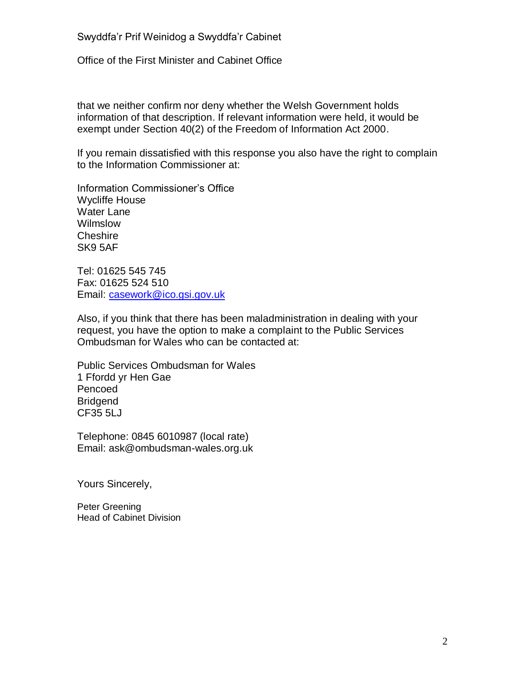#### Swyddfa'r Prif Weinidog a Swyddfa'r Cabinet

Office of the First Minister and Cabinet Office

that we neither confirm nor deny whether the Welsh Government holds information of that description. If relevant information were held, it would be exempt under Section 40(2) of the Freedom of Information Act 2000.

If you remain dissatisfied with this response you also have the right to complain to the Information Commissioner at:

Information Commissioner's Office Wycliffe House Water Lane Wilmslow **Cheshire** SK9 5AF

Tel: 01625 545 745 Fax: 01625 524 510 Email: [casework@ico.gsi.gov.uk](mailto:casework@ico.gsi.gov.uk)

Also, if you think that there has been maladministration in dealing with your request, you have the option to make a complaint to the Public Services Ombudsman for Wales who can be contacted at:

Public Services Ombudsman for Wales 1 Ffordd yr Hen Gae Pencoed **Bridgend** CF35 5LJ

Telephone: 0845 6010987 (local rate) Email: ask@ombudsman-wales.org.uk

Yours Sincerely,

Peter Greening Head of Cabinet Division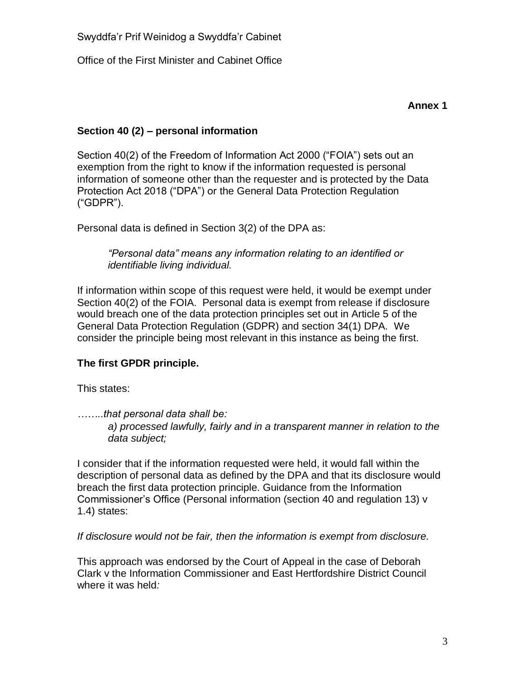Office of the First Minister and Cabinet Office

# **Section 40 (2) – personal information**

Section 40(2) of the Freedom of Information Act 2000 ("FOIA") sets out an exemption from the right to know if the information requested is personal information of someone other than the requester and is protected by the Data Protection Act 2018 ("DPA") or the General Data Protection Regulation ("GDPR").

Personal data is defined in Section 3(2) of the DPA as:

*"Personal data" means any information relating to an identified or identifiable living individual.*

If information within scope of this request were held, it would be exempt under Section 40(2) of the FOIA. Personal data is exempt from release if disclosure would breach one of the data protection principles set out in Article 5 of the General Data Protection Regulation (GDPR) and section 34(1) DPA. We consider the principle being most relevant in this instance as being the first.

# **The first GPDR principle.**

This states:

*……..that personal data shall be:*

*a) processed lawfully, fairly and in a transparent manner in relation to the data subject;*

I consider that if the information requested were held, it would fall within the description of personal data as defined by the DPA and that its disclosure would breach the first data protection principle. Guidance from the Information Commissioner's Office (Personal information (section 40 and regulation 13) v 1.4) states:

*If disclosure would not be fair, then the information is exempt from disclosure.*

This approach was endorsed by the Court of Appeal in the case of Deborah Clark v the Information Commissioner and East Hertfordshire District Council where it was held*:*